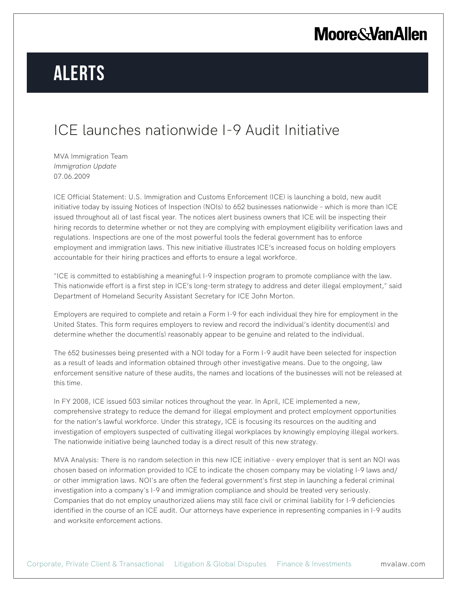# **Moore & Van Allen**

# **Alerts**

### ICE launches nationwide I-9 Audit Initiative

MVA Immigration Team *Immigration Update* 07.06.2009

ICE Official Statement: U.S. Immigration and Customs Enforcement (ICE) is launching a bold, new audit initiative today by issuing Notices of Inspection (NOIs) to 652 businesses nationwide – which is more than ICE issued throughout all of last fiscal year. The notices alert business owners that ICE will be inspecting their hiring records to determine whether or not they are complying with employment eligibility verification laws and regulations. Inspections are one of the most powerful tools the federal government has to enforce employment and immigration laws. This new initiative illustrates ICE's increased focus on holding employers accountable for their hiring practices and efforts to ensure a legal workforce.

"ICE is committed to establishing a meaningful I-9 inspection program to promote compliance with the law. This nationwide effort is a first step in ICE's long-term strategy to address and deter illegal employment," said Department of Homeland Security Assistant Secretary for ICE John Morton.

Employers are required to complete and retain a Form I-9 for each individual they hire for employment in the United States. This form requires employers to review and record the individual's identity document(s) and determine whether the document(s) reasonably appear to be genuine and related to the individual.

The 652 businesses being presented with a NOI today for a Form I-9 audit have been selected for inspection as a result of leads and information obtained through other investigative means. Due to the ongoing, law enforcement sensitive nature of these audits, the names and locations of the businesses will not be released at this time.

In FY 2008, ICE issued 503 similar notices throughout the year. In April, ICE implemented a new, comprehensive strategy to reduce the demand for illegal employment and protect employment opportunities for the nation's lawful workforce. Under this strategy, ICE is focusing its resources on the auditing and investigation of employers suspected of cultivating illegal workplaces by knowingly employing illegal workers. The nationwide initiative being launched today is a direct result of this new strategy.

MVA Analysis: There is no random selection in this new ICE initiative - every employer that is sent an NOI was chosen based on information provided to ICE to indicate the chosen company may be violating I-9 laws and/ or other immigration laws. NOI's are often the federal government's first step in launching a federal criminal investigation into a company's I-9 and immigration compliance and should be treated very seriously. Companies that do not employ unauthorized aliens may still face civil or criminal liability for I-9 deficiencies identified in the course of an ICE audit. Our attorneys have experience in representing companies in I-9 audits and worksite enforcement actions.